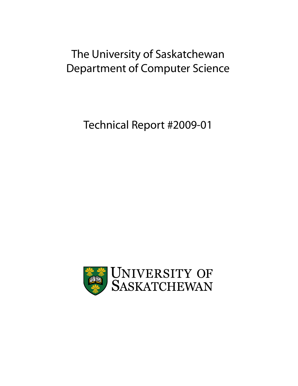# The University of Saskatchewan Department of Computer Science

Technical Report #2009-01

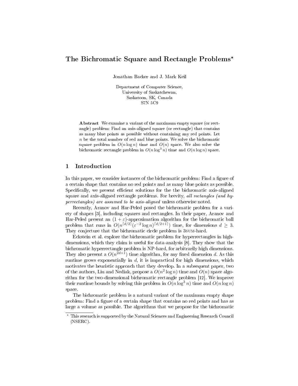## The Bichromatic Square and Rectangle Problems<sup>\*</sup>

Jonathan Backer and J. Mark Keil

Department of Computer Science, University of Saskatchewan, Saskatoon, SK, Canada S7N 5C9

Abstract We examine a variant of the maximum empty square (or rectangle) problem: Find an axis-aligned square (or rectangle) that contains as many blue points as possible without containing any red points. Let  $n$  be the total number of red and blue points. We solve the bichromatic square problem in  $O(n \log n)$  time and  $O(n)$  space. We also solve the bichromatic rectangle problem in  $O(n \log^3 n)$  time and  $O(n \log n)$  space.

#### 1 Introduction

In this paper, we consider instances of the bichromatic problem: Find a figure of a certain shape that contains no red points and as many blue points as possible. Specifically, we present efficient solutions for the the bichromatic axis-aligned square and axis-aligned rectangle problems. For brevity, all rectangles (and hyperrectangles) are assumed to be axis-aligned unless otherwise noted.

Recently, Aranov and Har-Peled posed the bichromatic problem for a variety of shapes [3], including squares and rectangles. In their paper, Aranov and Har-Peled present an  $(1 + \varepsilon)$ -approximation algorithm for the bichromatic ball problem that runs in  $O(n^{\lceil d/2 \rceil} (\varepsilon^{-2} \log n)^{\lceil d/2 + 1 \rceil})$  time, for dimensions  $d \geq 3$ . They conjecture that the bichromatic circle problem is 3sum-hard.

Eckstein et al. explore the bichromatic problem for hyperrectangles in highdimensions, which they claim is useful for data-analysis [8]. They show that the bichromatic hyperrectangle problem is NP-hard, for arbitrarily high dimensions. They also present a  $O(n^{2d+1})$  time algorithm, for any fixed dimension d. As this runtime grows exponentially in  $d$ , it is impractical for high dimensions, which motivates the heuristic approach that they develop. In a subsequent paper, two of the authors, Liu and Nediak, propose a  $O(n^2 \log n)$  time and  $O(n)$  space algorithm for the two-dimensional bichromatic rectangle problem [12]. We improve their runtime bounds by solving this problem in  $O(n \log^3 n)$  time and  $O(n \log n)$ space.

The bichromatic problem is a natural variant of the maximum empty shape problem: Find a figure of a certain shape that contains no red points and has as large a volume as possible. The algorithms that we propose for the bichromatic

<sup>?</sup> This research is supported by the Natural Sciences and Engineering Research Council (NSERC).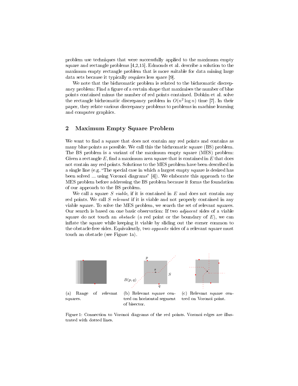problem use techniques that were successfully applied to the maximum empty square and rectangle problems [4,2,15]. Edmonds et al. describe a solution to the maximum empty rectangle problem that is more suitable for data mining large data sets because it typically requires less space [9].

We note that the bichromatic problem is related to the bichromatic discrepancy problem: Find a figure of a certain shape that maximises the number of blue points contained minus the number of red points contained. Dobkin et al. solve the rectangle bichromatic discrepancy problem in  $O(n^2 \log n)$  time [7]. In their paper, they relate various discrepancy problems to problems in machine learning and computer graphics.

### 2 Maximum Empty Square Problem

We want to find a square that does not contain any red points and contains as many blue points as possible. We call this the bichromatic square (BS) problem. The BS problem is a variant of the maximum empty square (MES) problem: Given a rectangle  $E$ , find a maximum area square that is contained in  $E$  that does not contain any red points. Solutions to the MES problem have been described in a single line (e.g. "The special case in which a largest empty square is desired has been solved ... using Voronoi diagrams" [4]). We elaborate this approach to the MES problem before addressing the BS problem because it forms the foundation of our approach to the BS problem.

We call a square S viable, if it is contained in  $E$  and does not contain any red points. We call S relevant if it is viable and not properly contained in any viable square. To solve the MES problem, we search the set of relevant squares. Our search is based on one basic observation: If two adjacent sides of a viable square do not touch an *obstacle* (a red point or the boundary of  $E$ ), we can inflate the square while keeping it viable by sliding out the corner common to the obstacle-free sides. Equivalently, two *opposite* sides of a relevant square must touch an obstacle (see Figure 1a).



Figure 1: Connection to Voronoi diagrams of the red points. Voronoi edges are illustrated with dotted lines.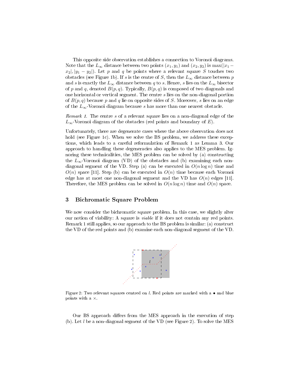This opposite side observation establishes a connection to Voronoi diagrams. Note that the  $L_{\infty}$  distance between two points  $(x_1, y_1)$  and  $(x_2, y_2)$  is max $(|x_1$  $x_2$ ,  $|y_1 - y_2|$ . Let p and q be points where a relevant square S touches two obstacles (see Figure 1b). If s is the centre of S, then the  $L_{\infty}$  distance between p and s is exactly the  $L_{\infty}$  distance between q to s. Hence, s lies on the  $L_{\infty}$  bisector of p and q, denoted  $B(p,q)$ . Typically,  $B(p,q)$  is composed of two diagonals and one horizontal or vertical segment. The centre s lies on the non-diagonal portion of  $B(p,q)$  because p and q lie on opposite sides of S. Moreover, s lies on an edge of the  $L_{\infty}$ -Voronoi diagram because s has more than one nearest obstacle.

Remark 1. The centre s of a relevant square lies on a non-diagonal edge of the  $L_{\infty}$ -Voronoi diagram of the obstacles (red points and boundary of E).

Unfortunately, there are degenerate cases where the above observation does not hold (see Figure 1c). When we solve the BS problem, we address these exceptions, which leads to a careful reformulation of Remark 1 as Lemma 3. Our approach to handling these degeneracies also applies to the MES problem. Ignoring these technicalities, the MES problem can be solved by (a) constructing the  $L_{\infty}$ -Voronoi diagram (VD) of the obstacles and (b) examining each nondiagonal segment of the VD. Step (a) can be executed in  $O(n \log n)$  time and  $O(n)$  space [11]. Step (b) can be executed in  $O(n)$  time because each Voronoi edge has at most one non-diagonal segment and the VD has  $O(n)$  edges [11]. Therefore, the MES problem can be solved in  $O(n \log n)$  time and  $O(n)$  space.

#### 3 Bichromatic Square Problem

We now consider the bichromatic square problem. In this case, we slightly alter our notion of viability: A square is viable if it does not contain any red points. Remark 1 still applies, so our approach to the BS problem is similar: (a) construct the VD of the red points and (b) examine each non-diagonal segment of the VD.



Figure 2: Two relevant squares centred on l. Red points are marked with a  $\bullet$  and blue points with a ×.

Our BS approach differs from the MES approach in the execution of step (b). Let  $l$  be a non-diagonal segment of the VD (see Figure 2). To solve the MES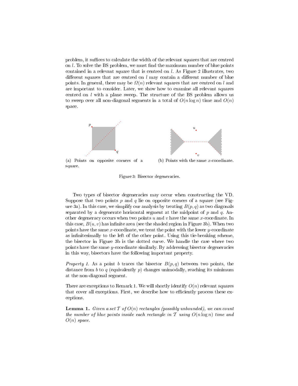problem, it suffices to calculate the width of the relevant squares that are centred on  $l$ . To solve the BS problem, we must find the maximum number of blue points contained in a relevant square that is centred on l. As Figure 2 illustrates, two different squares that are centred on  $l$  may contain a different number of blue points. In general, there may be  $\Omega(n)$  relevant squares that are centred on l and are important to consider. Later, we show how to examine all relevant squares centred on  $l$  with a plane sweep. The structure of the BS problem allows us to sweep over all non-diagonal segments in a total of  $O(n \log n)$  time and  $O(n)$ space.



(a) Points on opposite corners of a square. (b) Points with the same x-coordinate.

Figure 3: Bisector degeneracies.

Two types of bisector degeneracies may occur when constructing the VD. Suppose that two points p and q lie on opposite corners of a square (see Figure 3a). In this case, we simplify our analysis by treating  $B(p, q)$  as two diagonals separated by a degenerate horizontal segment at the midpoint of  $p$  and  $q$ . Another degeneracy occurs when two points  $u$  and  $v$  have the same x-coordinate. In this case,  $B(u, v)$  has infinite area (see the shaded region in Figure 3b). When two points have the same  $x$ -coordinate, we treat the point with the lower  $y$ -coordinate as infinitesimally to the left of the other point. Using this tie-breaking scheme, the bisector in Figure 3b is the dotted curve. We handle the case where two points have the same  $y$ -coordinate similarly. By addressing bisector degeneracies in this way, bisectors have the following important property.

*Property 1.* As a point b traces the bisector  $B(p,q)$  between two points, the distance from b to q (equivalently  $p$ ) changes unimodally, reaching its minimum at the non-diagonal segment.

There are exceptions to Remark 1. We will shortly identify  $O(n)$  relevant squares that cover all exceptions. First, we describe how to efficiently process these exceptions.

**Lemma 1.** Given a set T of  $O(n)$  rectangles (possibly unbounded), we can count the number of blue points inside each rectangle in T using  $O(n \log n)$  time and  $O(n)$  space.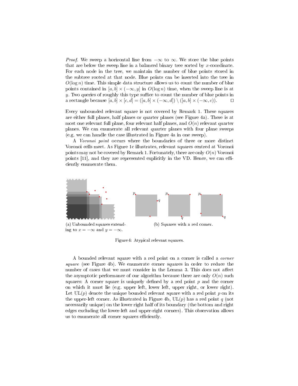*Proof.* We sweep a horizontal line from  $-\infty$  to  $\infty$ . We store the blue points that are below the sweep line in a balanced binary tree sorted by  $x$ -coordinate. For each node in the tree, we maintain the number of blue points stored in the subtree rooted at that node. Blue points can be inserted into the tree in  $O(\log n)$  time. This simple data structure allows us to count the number of blue points contained in  $[a, b] \times (-\infty, y]$  in  $O(\log n)$  time, when the sweep line is at y. Two queries of roughly this type suffice to count the number of blue points in a rectangle because  $[a, b] \times [c, d] = ([a, b] \times (-\infty, d]) \setminus ([a, b] \times (-\infty, c)).$ 

Every unbounded relevant square is not covered by Remark 1. These squares are either full planes, half planes or quarter planes (see Figure 4a). There is at most one relevant full plane, four relevant half planes, and  $O(n)$  relevant quarter planes. We can enumerate all relevant quarter planes with four plane sweeps (e.g. we can handle the case illustrated in Figure 4a in one sweep).

A Voronoi point occurs where the boundaries of three or more distinct Voronoi cells meet. As Figure 1c illustrates, relevant squares centred at Voronoi points may not be covered by Remark 1. Fortunately, there are only  $O(n)$  Voronoi points  $[11]$ , and they are represented explicitly in the VD. Hence, we can efficiently enumerate them.



Figure 4: Atypical relevant squares.

A bounded relevant square with a red point on a corner is called a corner square (see Figure 4b). We enumerate corner squares in order to reduce the number of cases that we must consider in the Lemma 3. This does not affect the asymptotic performance of our algorithm because there are only  $O(n)$  such squares: A corner square is uniquely defined by a red point  $p$  and the corner on which it must lie (e.g. upper left, lower left, upper right, or lower right). Let  $UL(p)$  denote the unique bounded relevant square with a red point p on its the upper-left corner. As illustrated in Figure 4b,  $UL(p)$  has a red point q (not necessarily unique) on the lower right half of its boundary (the bottom and right edges excluding the lower-left and upper-right corners). This observation allows us to enumerate all corner squares efficiently.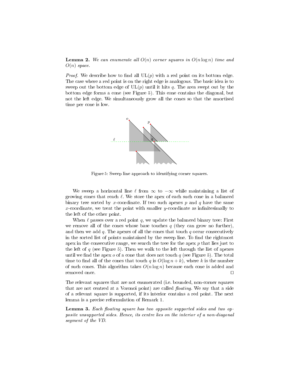**Lemma 2.** We can enumerate all  $O(n)$  corner squares in  $O(n \log n)$  time and  $O(n)$  space.

*Proof.* We describe how to find all  $UL(p)$  with a red point on its bottom edge. The case where a red point is on the right edge is analogous. The basic idea is to sweep out the bottom edge of  $UL(p)$  until it hits q. The area swept out by the bottom edge forms a cone (see Figure 5). This cone contains the diagonal, but not the left edge. We simultaneously grow all the cones so that the amortised time per cone is low.



Figure 5: Sweep line approach to identifying corner squares.

We sweep a horizontal line  $\ell$  from  $\infty$  to  $-\infty$  while maintaining a list of growing cones that reach  $\ell$ . We store the apex of each such cone in a balanced binary tree sorted by x-coordinate. If two such apexes p and q have the same x-coordinate, we treat the point with smaller  $y$ -coordinate as infinitesimally to the left of the other point.

When  $\ell$  passes over a red point q, we update the balanced binary tree: First we remove all of the cones whose base touches  $q$  (they can grow no further), and then we add q. The apexes of all the cones that touch q occur consecutively in the sorted list of points maintained by the sweep line. To find the rightmost apex in the consecutive range, we search the tree for the apex  $p$  that lies just to the left of  $q$  (see Figure 5). Then we walk to the left through the list of apexes until we find the apex  $o$  of a cone that does not touch  $q$  (see Figure 5). The total time to find all of the cones that touch q is  $O(\log n + k)$ , where k is the number of such cones. This algorithm takes  $O(n \log n)$  because each cone is added and removed once.  $\Box$ 

The relevant squares that are not enumerated (i.e. bounded, non-corner squares that are not centred at a Voronoi point) are called  $floating$ . We say that a side of a relevant square is supported, if its interior contains a red point. The next lemma is a precise reformulation of Remark 1.

**Lemma 3.** Each floating square has two opposite supported sides and two opposite unsupported sides. Hence, its centre lies on the interior of a non-diagonal segment of the VD.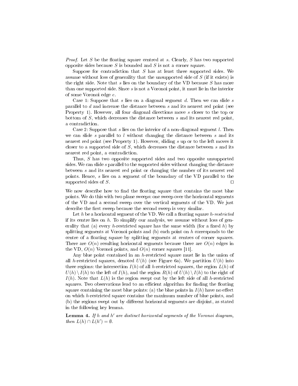*Proof.* Let S be the floating square centred at s. Clearly, S has two supported opposite sides because  $S$  is bounded and  $S$  is not a corner square.

Suppose for contradiction that  $S$  has at least three supported sides. We assume without loss of generality that the unsupported side of S (if it exists) is the right side. Note that  $s$  lies on the boundary of the VD because  $S$  has more than one supported side. Since  $s$  is not a Voronoi point, it must lie in the interior of some Voronoi edge e.

Case 1: Suppose that s lies on a diagonal segment d. Then we can slide s parallel to d and increase the distance between s and its nearest red point (see Property 1). However, all four diagonal directions move s closer to the top or bottom of S, which decreases the distance between s and its nearest red point, a contradiction.

Case 2: Suppose that s lies on the interior of a non-diagonal segment l. Then we can slide  $s$  parallel to  $l$  without changing the distance between  $s$  and its nearest red point (see Property 1). However, sliding s up or to the left moves it closer to a supported side of  $S$ , which decreases the distance between  $s$  and its nearest red point, a contradiction.

Thus, S has two opposite supported sides and two opposite unsupported sides. We can slide s parallel to the supported sides without changing the distance between s and its nearest red point or changing the number of its nearest red points. Hence, s lies on a segment of the boundary of the VD parallel to the supported sides of  $S$ .

We now describe how to find the floating square that contains the most blue points. We do this with two plane sweeps: one sweep over the horizontal segments of the VD and a second sweep over the vertical segments of the VD. We just describe the first sweep because the second sweep is very similar.

Let  $h$  be a horizontal segment of the VD. We call a floating square  $h$ -restricted if its centre lies on  $h$ . To simplify our analysis, we assume without loss of generality that (a) every h-restricted square has the same width (for a fixed h) by splitting segments at Voronoi points and  $(b)$  each point on h corresponds to the centre of a floating square by splitting segments at centres of corner squares. There are  $O(n)$  resulting horizontal segments because there are  $O(n)$  edges in the VD,  $O(n)$  Voronoi points, and  $O(n)$  corner squares [11].

Any blue point contained in an  $h$ -restricted square must lie in the union of all h-restricted squares, denoted  $U(h)$  (see Figure 6a). We partition  $U(h)$  into three regions: the intersection  $I(h)$  of all h-restricted squares, the region  $L(h)$  of  $U(h) \setminus I(h)$  to the left of  $I(h)$ , and the region  $R(h)$  of  $U(h) \setminus I(h)$  to the right of  $I(h)$ . Note that  $L(h)$  is the region swept out by the left side of all h-restricted squares. Two observations lead to an efficient algorithm for finding the floating square containing the most blue points: (a) the blue points in  $I(h)$  have no effect on which h-restricted square contains the maximum number of blue points, and (b) the regions swept out by different horizontal segments are disjoint, as stated in the following key lemma.

**Lemma 4.** If h and h' are distinct horizontal segments of the Voronoi diagram, then  $L(h) \cap L(h') = \emptyset$ .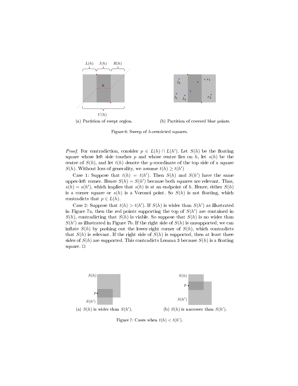

Figure 6: Sweep of h-restricted squares.

*Proof.* For contradiction, consider  $p \in L(h) \cap L(h')$ . Let  $S(h)$  be the floating square whose left side touches p and whose centre lies on h, let  $s(h)$  be the centre of  $S(h)$ , and let  $t(h)$  denote the y-coordinate of the top side of a square  $S(h)$ . Without loss of generality, we assume  $t(h) \geq t(h')$ 

Case 1: Suppose that  $t(h) = t(h')$ . Then  $S(h)$  and  $S(h')$  have the same upper-left corner. Hence  $S(h) = S(h')$  because both squares are relevant. Thus,  $s(h) = s(h')$ , which implies that  $s(h)$  is at an endpoint of h. Hence, either  $S(h)$ is a corner square or  $s(h)$  is a Voronoi point. So  $S(h)$  is not floating, which contradicts that  $p \in L(h)$ .

Case 2: Suppose that  $t(h) > t(h')$ . If  $S(h)$  is wider than  $S(h')$  as illustrated in Figure 7a, then the red points supporting the top of  $S(h')$  are contained in  $S(h)$ , contradicting that  $S(h)$  is viable. So suppose that  $S(h)$  is no wider than  $S(h')$  as illustrated in Figure 7b. If the right side of  $S(h)$  is unsupported, we can inflate  $S(h)$  by pushing out the lower-right corner of  $S(h)$ , which contradicts that  $S(h)$  is relevant. If the right side of  $S(h)$  is supported, then at least three sides of  $S(h)$  are supported. This contradicts Lemma 3 because  $S(h)$  is a floating square.  $\square$ 



Figure 7: Cases when  $t(h) < t(h')$ .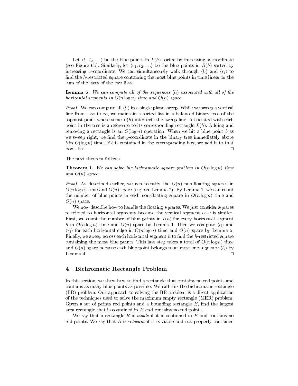Let  $\langle l_1, l_2, \ldots \rangle$  be the blue points in  $L(h)$  sorted by increasing x-coordinate (see Figure 6b). Similarly, let  $\langle r_1, r_2, \ldots \rangle$  be the blue points in  $R(h)$  sorted by increasing x-coordinate. We can simultaneously walk through  $\langle l_i \rangle$  and  $\langle r_i \rangle$  to find the  $h$ -restricted square containing the most blue points in time linear in the sum of the sizes of the two lists.

**Lemma 5.** We can compute all of the sequences  $\langle l_i \rangle$  associated with all of the horizontal segments in  $O(n \log n)$  time and  $O(n)$  space.

*Proof.* We can compute all  $\langle l_i \rangle$  in a single plane sweep. While we sweep a vertical line from  $-\infty$  to  $\infty$ , we maintain a sorted list in a balanced binary tree of the topmost point where some  $L(h)$  intersects the sweep line. Associated with each point in the tree is a reference to its corresponding rectangle  $L(h)$ . Adding and removing a rectangle is an  $O(\log n)$  operation. When we hit a blue point b as we sweep right, we find the y-coordinate in the binary tree immediately above b in  $O(\log n)$  time. If b is contained in the corresponding box, we add it to that  $\log$ 's list.

The next theorem follows.

**Theorem 1.** We can solve the bichromatic square problem in  $O(n \log n)$  time and  $O(n)$  space.

*Proof.* As described earlier, we can identify the  $O(n)$  non-floating squares in  $O(n \log n)$  time and  $O(n)$  space (e.g. see Lemma 2). By Lemma 1, we can count the number of blue points in each non-floating square in  $O(n \log n)$  time and  $O(n)$  space.

We now describe how to handle the floating squares. We just consider squares restricted to horizontal segments because the vertical segment case is similar. First, we count the number of blue points in  $I(h)$  for every horizontal segment h in  $O(n \log n)$  time and  $O(n)$  space by Lemma 1. Then we compute  $\langle l_i \rangle$  and  $\langle r_i \rangle$  for each horizontal edge in  $O(n \log n)$  time and  $O(n)$  space by Lemma 5. Finally, we sweep across each horizontal segment  $h$  to find the  $h$ -restricted square containing the most blue points. This last step takes a total of  $O(n \log n)$  time and  $O(n)$  space because each blue point belongs to at most one sequence  $\langle l_i \rangle$  by Lemma 4.  $\Box$ 

#### 4 Bichromatic Rectangle Problem

In this section, we show how to find a rectangle that contains no red points and contains as many blue points as possible. We call this the bichromatic rectangle (BR) problem. Our approach to solving the BR problem is a direct application of the techniques used to solve the maximum empty rectangle (MER) problem: Given a set of points red points and a bounding rectangle  $E$ , find the largest area rectangle that is contained in E and contains no red points.

We say that a rectangle  $R$  is *viable* if it is contained in  $E$  and contains no red points. We say that  $R$  is relevant if it is viable and not properly contained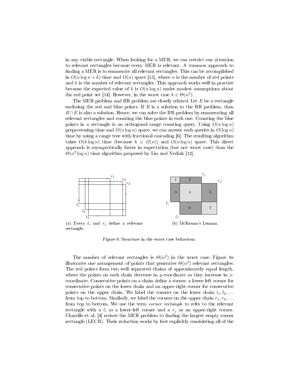in any viable rectangle. When looking for a MER, we can restrict our attention to relevant rectangles because every MER is relevant. A common approach to finding a MER is to enumerate all relevant rectangles. This can be accomplished in  $O(n \log n + k)$  time and  $O(n)$  space [15], where n is the number of red points and  $k$  is the number of relevant rectangles. This approach works well in practice because the expected value of k is  $O(n \log n)$  under modest assumptions about the red point set [14]. However, in the worst case  $k \in \Theta(n^2)$ .

The MER problem and BR problem are closely related: Let  $E$  be a rectangle enclosing the red and blue points. If  $R$  is a solution to the BR problem, then  $R \cap E$  is also a solution. Hence, we can solve the BR problem by enumerating all relevant rectangles and counting the blue points in each one. Counting the blue points in a rectangle is an orthogonal range counting query. Using  $O(n \log n)$ preprocessing time and  $O(n \log n)$  space, we can answer such queries in  $O(\log n)$ time by using a range tree with fractional cascading [6]. The resulting algorithm takes  $O(k \log n)$  time (because  $k \in \Omega(n)$ ) and  $O(n \log n)$  space. This direct approach is asymptotically faster in expectation (but not worst case) than the  $\Theta(n^2 \log n)$  time algorithm proposed by Liu and Nediak [12].



Figure 8: Structure in the worst case behaviour.

rectangle.

The number of relevant rectangles is  $\Theta(n^2)$  in the worst case. Figure 8a illustrates one arrangement of points that generates  $\Theta(n^2)$  relevant rectangles: The red points form two well separated chains of approximately equal length, where the points on each chain decrease in y-coordinate as they increase in  $x$ coordinate. Consecutive points on a chain define a corner: a lower-left corner for consecutive points on the lower chain and an upper-right corner for consecutive points on the upper chain. We label the corners on the lower chain  $l_1, l_2, \ldots$ from top to bottom. Similarly, we label the corners on the upper chain  $r_1, r_2, \ldots$ from top to bottom. We use the term *corner rectangle* to refer to the relevant rectangle with a  $l_i$  as a lower-left corner and a  $r_i$  as an upper-right corner. Chazelle et al. [4] reduce the MER problem to finding the largest empty corner rectangle (LECR). Their reduction works by first explicitly considering all of the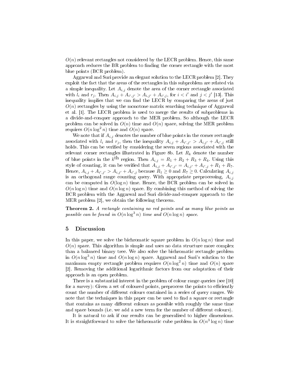$O(n)$  relevant rectangles not considered by the LECR problem. Hence, this same approach reduces the BR problem to finding the corner rectangle with the most blue points (BCR problem).

Aggarwal and Suri provide an elegant solution to the LECR problem [2]. They exploit the fact that the areas of the rectangles in this subproblem are related via a simple inequality. Let  $A_{i,j}$  denote the area of the corner rectangle associated with  $l_i$  and  $r_j$ . Then  $A_{i,j} + A_{i',j'} > A_{i,j'} + A_{i',j}$ , for  $i < i'$  and  $j < j'$  [13]. This inequality implies that we can find the LECR by comparing the areas of just  $O(n)$  rectangles by using the monotone matrix searching technique of Aggarwal et al. [1]. The LECR problem is used to merge the results of subproblems in a divide-and-conquer approach to the MER problem. So although the LECR problem can be solved in  $O(n)$  time and  $O(n)$  space, solving the MER problem requires  $O(n \log^2 n)$  time and  $O(n)$  space.

We note that if  $A_{i,j}$  denotes the number of blue points in the corner rectangle associated with  $l_i$  and  $r_j$ , then the inequality  $A_{i,j} + A_{i',j'} > A_{i,j'} + A_{i',j}$  still holds. This can be verified by considering the seven regions associated with the relevant corner rectangles illustrated in Figure 8b. Let  $R_k$  denote the number of blue points in the  $k^{\text{th}}$  region. Then  $A_{i,j} = R_1 + R_2 + R_3 + R_4$ . Using this style of counting, it can be verified that  $A_{i,j} + A_{i',j'} = A_{i,j'} + A_{i',j} + R_1 + R_7$ . Hence,  $A_{i,j} + A_{i',j'} > A_{i,j'} + A_{i',j}$  because  $R_1 \geq 0$  and  $R_7 \geq 0$ . Calculating  $A_{i,j}$ is an orthogonal range counting query. With appropriate preprocessing,  $A_{i,j}$ can be computed in  $O(\log n)$  time. Hence, the BCR problem can be solved in  $O(n \log n)$  time and  $O(n \log n)$  space. By combining this method of solving the BCR problem with the Aggarwal and Suri divide-and-conquer approach to the MER problem [2], we obtain the following theorem.

Theorem 2. A rectangle containing no red points and as many blue points as possible can be found in  $O(n \log^3 n)$  time and  $O(n \log n)$  space.

#### 5 Discussion

In this paper, we solve the bichromatic square problem in  $O(n \log n)$  time and  $O(n)$  space. This algorithm is simple and uses no data structure more complex than a balanced binary tree. We also solve the bichromatic rectangle problem in  $O(n \log^3 n)$  time and  $O(n \log n)$  space. Aggarwal and Suri's solution to the maximum empty rectangle problem requires  $O(n \log^2 n)$  time and  $O(n)$  space [2]. Removing the additional logarithmic factors from our adaptation of their approach is an open problem.

There is a substantial interest in the problem of colour range queries (see [10] for a survey): Given a set of coloured points, preprocess the points to efficiently count the number of different colours contained in a series of query ranges. We note that the techniques in this paper can be used to find a square or rectangle that contains as many different colours as possible with roughly the same time and space bounds (i.e. we add a new term for the number of different colours).

It is natural to ask if our results can be generalised to higher dimensions. It is straightforward to solve the bichromatic cube problem in  $O(n^3 \log n)$  time